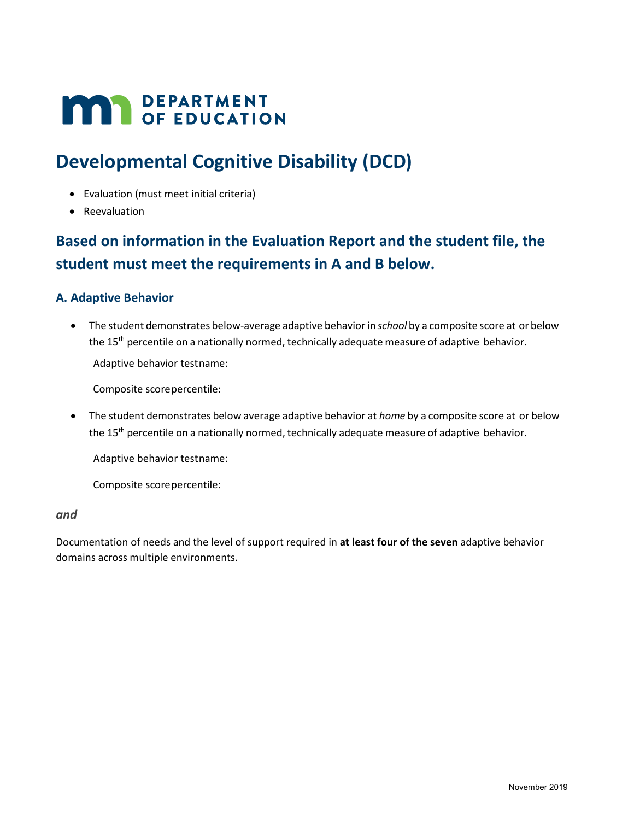# **MAY DEPARTMENT**

## **Developmental Cognitive Disability (DCD)**

- Evaluation (must meet initial criteria)
- Reevaluation

### **Based on information in the Evaluation Report and the student file, the student must meet the requirements in A and B below.**

#### **A. Adaptive Behavior**

• The student demonstrates below-average adaptive behavior in *school* by a composite score at or below the 15<sup>th</sup> percentile on a nationally normed, technically adequate measure of adaptive behavior. Adaptive behavior testname:

Composite scorepercentile:

• The student demonstrates below average adaptive behavior at *home* by a composite score at or below the 15<sup>th</sup> percentile on a nationally normed, technically adequate measure of adaptive behavior.

Adaptive behavior testname:

Composite scorepercentile:

#### *and*

Documentation of needs and the level of support required in **at least four of the seven** adaptive behavior domains across multiple environments.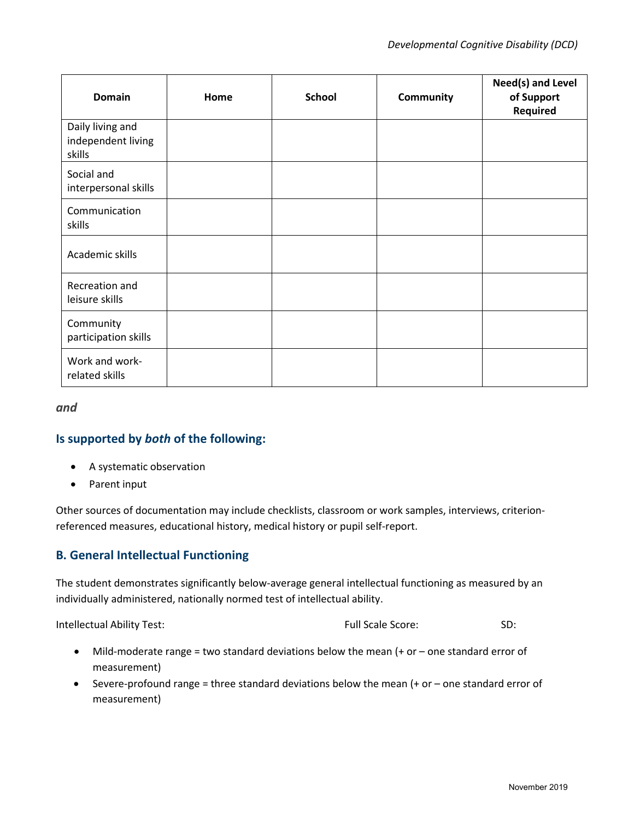| <b>Domain</b>                                    | Home | <b>School</b> | Community | Need(s) and Level<br>of Support<br><b>Required</b> |
|--------------------------------------------------|------|---------------|-----------|----------------------------------------------------|
| Daily living and<br>independent living<br>skills |      |               |           |                                                    |
| Social and<br>interpersonal skills               |      |               |           |                                                    |
| Communication<br>skills                          |      |               |           |                                                    |
| Academic skills                                  |      |               |           |                                                    |
| Recreation and<br>leisure skills                 |      |               |           |                                                    |
| Community<br>participation skills                |      |               |           |                                                    |
| Work and work-<br>related skills                 |      |               |           |                                                    |

*and* 

#### **Is supported by** *both* **of the following:**

- A systematic observation
- Parent input

Other sources of documentation may include checklists, classroom or work samples, interviews, criterionreferenced measures, educational history, medical history or pupil self-report.

#### **B. General Intellectual Functioning**

The student demonstrates significantly below-average general intellectual functioning as measured by an individually administered, nationally normed test of intellectual ability.

Intellectual Ability Test: Full Scale Score: SD:

- Mild-moderate range = two standard deviations below the mean (+ or one standard error of measurement)
- Severe-profound range = three standard deviations below the mean (+ or one standard error of measurement)